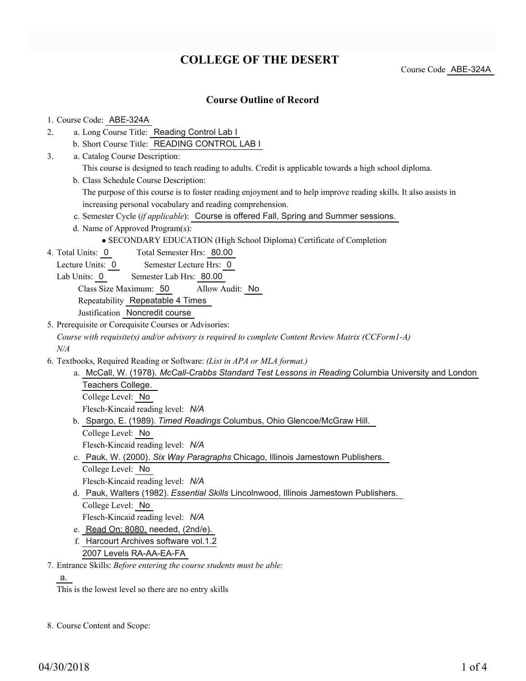# **COLLEGE OF THE DESERT**

Course Code ABE-324A

## **Course Outline of Record**

#### 1. Course Code: ABE-324A

- a. Long Course Title: Reading Control Lab I 2.
	- b. Short Course Title: READING CONTROL LAB I
- Catalog Course Description: a. 3.
	- This course is designed to teach reading to adults. Credit is applicable towards a high school diploma.
	- b. Class Schedule Course Description:
		- The purpose of this course is to foster reading enjoyment and to help improve reading skills. It also assists in increasing personal vocabulary and reading comprehension.
	- c. Semester Cycle (*if applicable*): Course is offered Fall, Spring and Summer sessions.
	- d. Name of Approved Program(s):
		- SECONDARY EDUCATION (High School Diploma) Certificate of Completion
- Total Semester Hrs: 80.00 4. Total Units: 0
	- Lecture Units: 0 Semester Lecture Hrs: 0
	- Lab Units: 0 Semester Lab Hrs: 80.00

Class Size Maximum: 50 Allow Audit: No

Repeatability Repeatable 4 Times

Justification Noncredit course

- 5. Prerequisite or Corequisite Courses or Advisories:
	- *Course with requisite(s) and/or advisory is required to complete Content Review Matrix (CCForm1-A) N/A*
- Textbooks, Required Reading or Software: *(List in APA or MLA format.)* 6.
	- a. McCall, W. (1978). *McCall-Crabbs Standard Test Lessons in Reading* Columbia University and London Teachers College. College Level: No Flesch-Kincaid reading level: *N/A*
	- b. Spargo, E. (1989). Timed Readings Columbus, Ohio Glencoe/McGraw Hill.
		- College Level: No

Flesch-Kincaid reading level: *N/A*

- c. Pauk, W. (2000). Six Way Paragraphs Chicago, Illinois Jamestown Publishers. College Level: No
	- Flesch-Kincaid reading level: *N/A*
- d. Pauk, Walters (1982). *Essential Skills* Lincolnwood, Illinois Jamestown Publishers. College Level: No Flesch-Kincaid reading level: *N/A*
- e. Read On: 8080. needed, (2nd/e).
- 
- f. Harcourt Archives software vol.1.2 2007 Levels RA-AA-EA-FA

Entrance Skills: *Before entering the course students must be able:* 7.

a.

This is the lowest level so there are no entry skills

8. Course Content and Scope: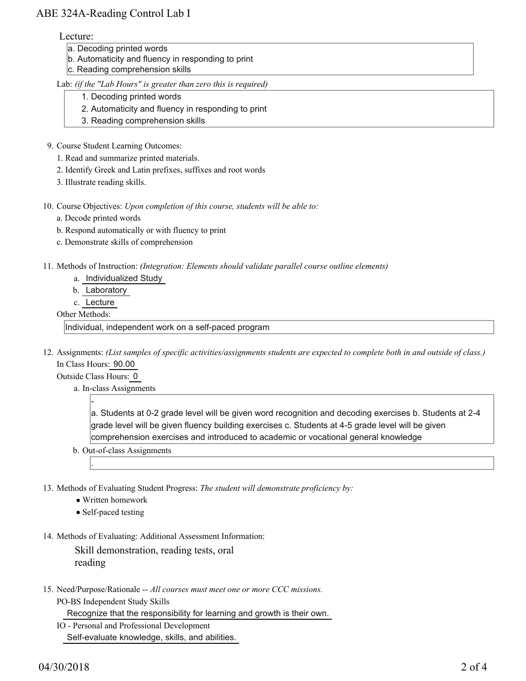## ABE 324A-Reading Control Lab I

#### Lecture:

- a. Decoding printed words
- b. Automaticity and fluency in responding to print
- c. Reading comprehension skills

#### Lab: *(if the "Lab Hours" is greater than zero this is required)*

- 1. Decoding printed words
- 2. Automaticity and fluency in responding to print
- 3. Reading comprehension skills
- 9. Course Student Learning Outcomes:
	- 1. Read and summarize printed materials.
	- 2. Identify Greek and Latin prefixes, suffixes and root words
	- 3. Illustrate reading skills.
- 10. Course Objectives: Upon completion of this course, students will be able to:
	- a. Decode printed words
	- b. Respond automatically or with fluency to print
	- c. Demonstrate skills of comprehension
- 11. Methods of Instruction: *(Integration: Elements should validate parallel course outline elements)* 
	- a. Individualized Study
	- b. Laboratory
	- c. Lecture

### Other Methods:

Individual, independent work on a self-paced program

12. Assignments: (List samples of specific activities/assignments students are expected to complete both in and outside of class.) In Class Hours: 90.00

Outside Class Hours: 0

-

.

a. In-class Assignments

a. Students at 0-2 grade level will be given word recognition and decoding exercises b. Students at 2-4 grade level will be given fluency building exercises c. Students at 4-5 grade level will be given comprehension exercises and introduced to academic or vocational general knowledge

- b. Out-of-class Assignments
- 13. Methods of Evaluating Student Progress: The student will demonstrate proficiency by:
	- Written homework
	- Self-paced testing
- 14. Methods of Evaluating: Additional Assessment Information:

Skill demonstration, reading tests, oral reading

15. Need/Purpose/Rationale -- All courses must meet one or more CCC missions. PO-BS Independent Study Skills

Recognize that the responsibility for learning and growth is their own.

IO - Personal and Professional Development Self-evaluate knowledge, skills, and abilities.